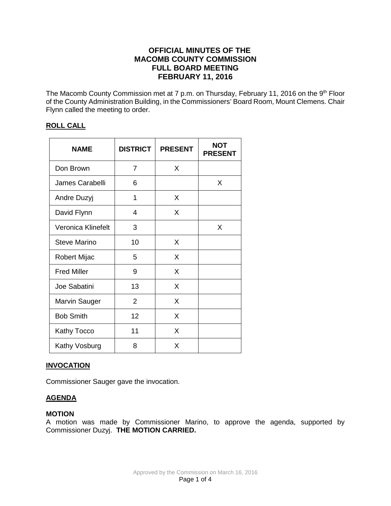# **OFFICIAL MINUTES OF THE MACOMB COUNTY COMMISSION FULL BOARD MEETING FEBRUARY 11, 2016**

The Macomb County Commission met at 7 p.m. on Thursday, February 11, 2016 on the 9<sup>th</sup> Floor of the County Administration Building, in the Commissioners' Board Room, Mount Clemens. Chair Flynn called the meeting to order.

## **ROLL CALL**

| <b>NAME</b>          | <b>DISTRICT</b> | <b>PRESENT</b> | <b>NOT</b><br><b>PRESENT</b> |
|----------------------|-----------------|----------------|------------------------------|
| Don Brown            | 7               | X              |                              |
| James Carabelli      | 6               |                | X                            |
| Andre Duzyj          | 1               | X              |                              |
| David Flynn          | 4               | X              |                              |
| Veronica Klinefelt   | 3               |                | X                            |
| <b>Steve Marino</b>  | 10              | X              |                              |
| <b>Robert Mijac</b>  | 5               | X              |                              |
| <b>Fred Miller</b>   | 9               | X              |                              |
| Joe Sabatini         | 13              | X              |                              |
| <b>Marvin Sauger</b> | $\overline{2}$  | X              |                              |
| <b>Bob Smith</b>     | 12              | X              |                              |
| <b>Kathy Tocco</b>   | 11              | X              |                              |
| Kathy Vosburg        | 8               | X              |                              |

## **INVOCATION**

Commissioner Sauger gave the invocation.

## **AGENDA**

#### **MOTION**

A motion was made by Commissioner Marino, to approve the agenda, supported by Commissioner Duzyj. **THE MOTION CARRIED.**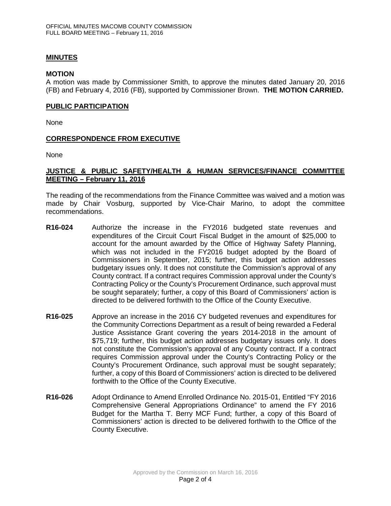## **MINUTES**

### **MOTION**

A motion was made by Commissioner Smith, to approve the minutes dated January 20, 2016 (FB) and February 4, 2016 (FB), supported by Commissioner Brown. **THE MOTION CARRIED.** 

#### **PUBLIC PARTICIPATION**

None

#### **CORRESPONDENCE FROM EXECUTIVE**

None

## **JUSTICE & PUBLIC SAFETY/HEALTH & HUMAN SERVICES/FINANCE COMMITTEE MEETING – February 11, 2016**

The reading of the recommendations from the Finance Committee was waived and a motion was made by Chair Vosburg, supported by Vice-Chair Marino, to adopt the committee recommendations.

- **R16-024** Authorize the increase in the FY2016 budgeted state revenues and expenditures of the Circuit Court Fiscal Budget in the amount of \$25,000 to account for the amount awarded by the Office of Highway Safety Planning, which was not included in the FY2016 budget adopted by the Board of Commissioners in September, 2015; further, this budget action addresses budgetary issues only. It does not constitute the Commission's approval of any County contract. If a contract requires Commission approval under the County's Contracting Policy or the County's Procurement Ordinance, such approval must be sought separately; further, a copy of this Board of Commissioners' action is directed to be delivered forthwith to the Office of the County Executive.
- **R16-025** Approve an increase in the 2016 CY budgeted revenues and expenditures for the Community Corrections Department as a result of being rewarded a Federal Justice Assistance Grant covering the years 2014-2018 in the amount of \$75,719; further, this budget action addresses budgetary issues only. It does not constitute the Commission's approval of any County contract. If a contract requires Commission approval under the County's Contracting Policy or the County's Procurement Ordinance, such approval must be sought separately; further, a copy of this Board of Commissioners' action is directed to be delivered forthwith to the Office of the County Executive.
- **R16-026** Adopt Ordinance to Amend Enrolled Ordinance No. 2015-01, Entitled "FY 2016 Comprehensive General Appropriations Ordinance" to amend the FY 2016 Budget for the Martha T. Berry MCF Fund; further, a copy of this Board of Commissioners' action is directed to be delivered forthwith to the Office of the County Executive.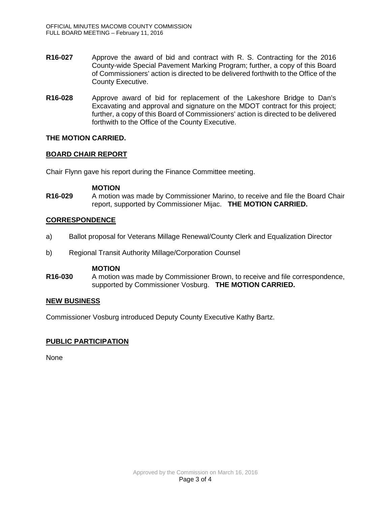- **R16-027** Approve the award of bid and contract with R. S. Contracting for the 2016 County-wide Special Pavement Marking Program; further, a copy of this Board of Commissioners' action is directed to be delivered forthwith to the Office of the County Executive.
- **R16-028** Approve award of bid for replacement of the Lakeshore Bridge to Dan's Excavating and approval and signature on the MDOT contract for this project; further, a copy of this Board of Commissioners' action is directed to be delivered forthwith to the Office of the County Executive.

## **THE MOTION CARRIED.**

## **BOARD CHAIR REPORT**

Chair Flynn gave his report during the Finance Committee meeting.

#### **MOTION**

**R16-029** A motion was made by Commissioner Marino, to receive and file the Board Chair report, supported by Commissioner Mijac. **THE MOTION CARRIED.**

#### **CORRESPONDENCE**

- a) Ballot proposal for Veterans Millage Renewal/County Clerk and Equalization Director
- b) Regional Transit Authority Millage/Corporation Counsel

### **MOTION**

**R16-030** A motion was made by Commissioner Brown, to receive and file correspondence, supported by Commissioner Vosburg. **THE MOTION CARRIED.**

#### **NEW BUSINESS**

Commissioner Vosburg introduced Deputy County Executive Kathy Bartz.

## **PUBLIC PARTICIPATION**

None